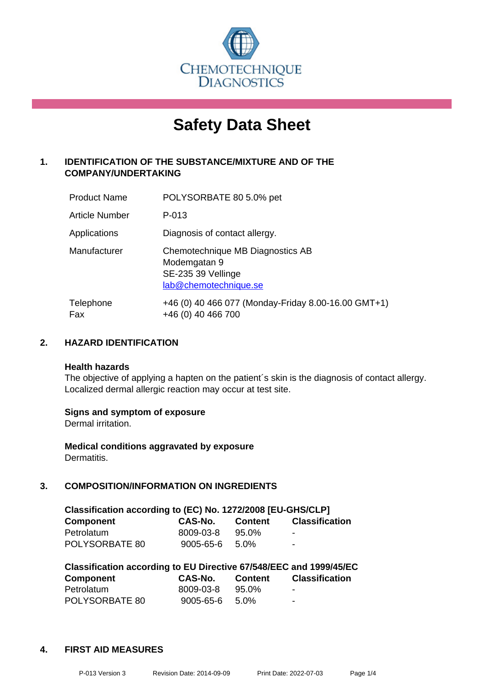

# **Safety Data Sheet**

## **1. IDENTIFICATION OF THE SUBSTANCE/MIXTURE AND OF THE COMPANY/UNDERTAKING**

| <b>Product Name</b>   | POLYSORBATE 80 5.0% pet                                                                         |
|-----------------------|-------------------------------------------------------------------------------------------------|
| <b>Article Number</b> | P-013                                                                                           |
| Applications          | Diagnosis of contact allergy.                                                                   |
| Manufacturer          | Chemotechnique MB Diagnostics AB<br>Modemgatan 9<br>SE-235 39 Vellinge<br>lab@chemotechnique.se |
| Telephone<br>Fax      | +46 (0) 40 466 077 (Monday-Friday 8.00-16.00 GMT+1)<br>+46 (0) 40 466 700                       |

## **2. HAZARD IDENTIFICATION**

#### **Health hazards**

The objective of applying a hapten on the patient's skin is the diagnosis of contact allergy. Localized dermal allergic reaction may occur at test site.

## **Signs and symptom of exposure**

Dermal irritation.

**Medical conditions aggravated by exposure** Dermatitis.

## **3. COMPOSITION/INFORMATION ON INGREDIENTS**

| Classification according to (EC) No. 1272/2008 [EU-GHS/CLP] |           |                |                       |  |  |
|-------------------------------------------------------------|-----------|----------------|-----------------------|--|--|
| <b>Component</b>                                            | CAS-No.   | <b>Content</b> | <b>Classification</b> |  |  |
| Petrolatum                                                  | 8009-03-8 | $95.0\%$       | -                     |  |  |
| POLYSORBATE 80                                              | 9005-65-6 | .5.0%          | ۰.                    |  |  |

| Classification according to EU Directive 67/548/EEC and 1999/45/EC |           |                |                       |  |  |
|--------------------------------------------------------------------|-----------|----------------|-----------------------|--|--|
| <b>Component</b>                                                   | CAS-No.   | <b>Content</b> | <b>Classification</b> |  |  |
| Petrolatum                                                         | 8009-03-8 | 95.0%          | ٠                     |  |  |
| POLYSORBATE 80                                                     | 9005-65-6 | 5.0%           | -                     |  |  |

#### **4. FIRST AID MEASURES**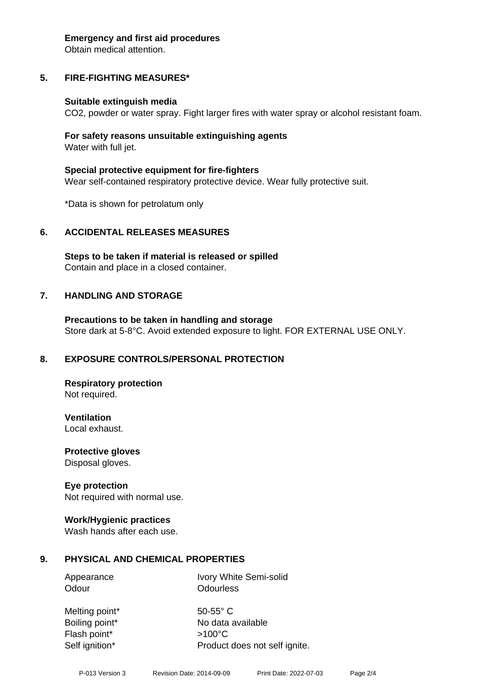#### **Emergency and first aid procedures**

Obtain medical attention.

## **5. FIRE-FIGHTING MEASURES\***

## **Suitable extinguish media**

CO2, powder or water spray. Fight larger fires with water spray or alcohol resistant foam.

## **For safety reasons unsuitable extinguishing agents** Water with full jet.

**Special protective equipment for fire-fighters** Wear self-contained respiratory protective device. Wear fully protective suit.

\*Data is shown for petrolatum only

## **6. ACCIDENTAL RELEASES MEASURES**

**Steps to be taken if material is released or spilled** Contain and place in a closed container.

## **7. HANDLING AND STORAGE**

**Precautions to be taken in handling and storage** Store dark at 5-8°C. Avoid extended exposure to light. FOR EXTERNAL USE ONLY.

# **8. EXPOSURE CONTROLS/PERSONAL PROTECTION**

**Respiratory protection** Not required.

**Ventilation** Local exhaust.

**Protective gloves** Disposal gloves.

# **Eye protection**

Not required with normal use.

## **Work/Hygienic practices**

Wash hands after each use.

# **9. PHYSICAL AND CHEMICAL PROPERTIES**

Appearance Ivory White Semi-solid Odour **Odourless** 

Melting point\* 50-55° C Flash point\* >100°C Self ignition\* Product does not self ignite.

Boiling point\* No data available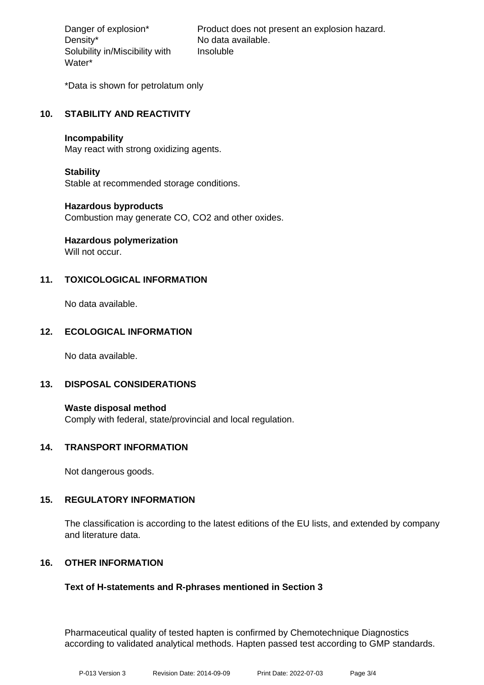Density\* No data available. Solubility in/Miscibility with Water\*

Danger of explosion\* Product does not present an explosion hazard. Insoluble

\*Data is shown for petrolatum only

## **10. STABILITY AND REACTIVITY**

#### **Incompability**

May react with strong oxidizing agents.

## **Stability**

Stable at recommended storage conditions.

## **Hazardous byproducts**

Combustion may generate CO, CO2 and other oxides.

# **Hazardous polymerization**

Will not occur.

## **11. TOXICOLOGICAL INFORMATION**

No data available.

## **12. ECOLOGICAL INFORMATION**

No data available.

## **13. DISPOSAL CONSIDERATIONS**

**Waste disposal method** Comply with federal, state/provincial and local regulation.

## **14. TRANSPORT INFORMATION**

Not dangerous goods.

## **15. REGULATORY INFORMATION**

The classification is according to the latest editions of the EU lists, and extended by company and literature data.

## **16. OTHER INFORMATION**

## **Text of H-statements and R-phrases mentioned in Section 3**

Pharmaceutical quality of tested hapten is confirmed by Chemotechnique Diagnostics according to validated analytical methods. Hapten passed test according to GMP standards.